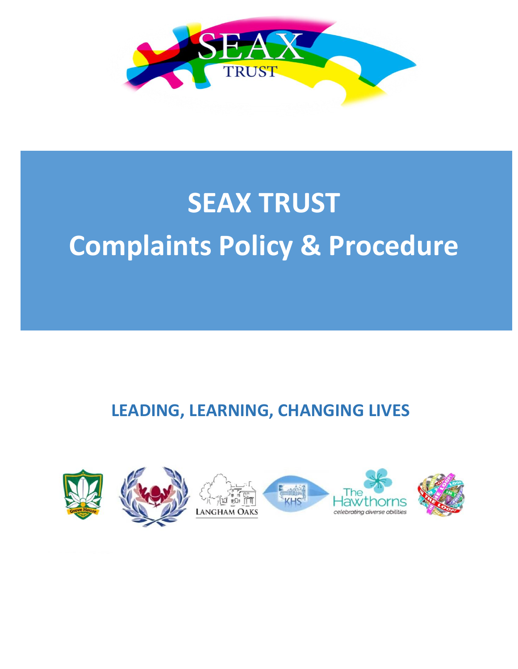

# **SEAX TRUST Complaints Policy & Procedure**

# **LEADING, LEARNING, CHANGING LIVES**

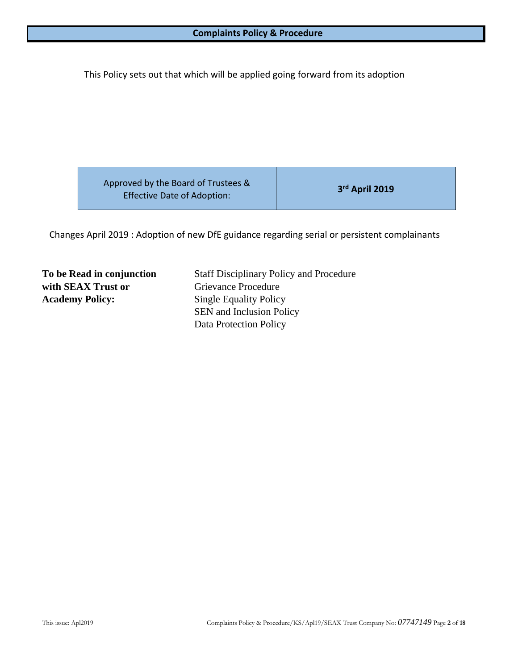This Policy sets out that which will be applied going forward from its adoption

| Approved by the Board of Trustees &<br><b>Effective Date of Adoption:</b> | 3rd April 2019 |
|---------------------------------------------------------------------------|----------------|
|                                                                           |                |

Changes April 2019 : Adoption of new DfE guidance regarding serial or persistent complainants

**with SEAX Trust or** Grievance Procedure **Academy Policy:** Single Equality Policy

**To be Read in conjunction** Staff Disciplinary Policy and Procedure SEN and Inclusion Policy Data Protection Policy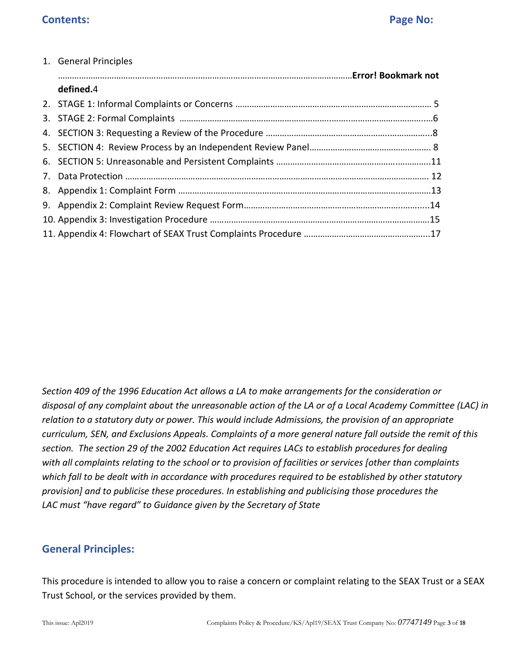| 1. General Principles |  |
|-----------------------|--|
|                       |  |
| defined.4             |  |
|                       |  |
|                       |  |
|                       |  |
|                       |  |
|                       |  |
|                       |  |
|                       |  |
|                       |  |
|                       |  |
|                       |  |

*Section 409 of the 1996 Education Act allows a LA to make arrangements for the consideration or disposal of any complaint about the unreasonable action of the LA or of a Local Academy Committee (LAC) in relation to a statutory duty or power. This would include Admissions, the provision of an appropriate curriculum, SEN, and Exclusions Appeals. Complaints of a more general nature fall outside the remit of this section. The section 29 of the 2002 Education Act requires LACs to establish procedures for dealing with all complaints relating to the school or to provision of facilities or services [other than complaints which fall to be dealt with in accordance with procedures required to be established by other statutory provision] and to publicise these procedures. In establishing and publicising those procedures the LAC must "have regard" to Guidance given by the Secretary of State*

# **General Principles:**

This procedure is intended to allow you to raise a concern or complaint relating to the SEAX Trust or a SEAX Trust School, or the services provided by them.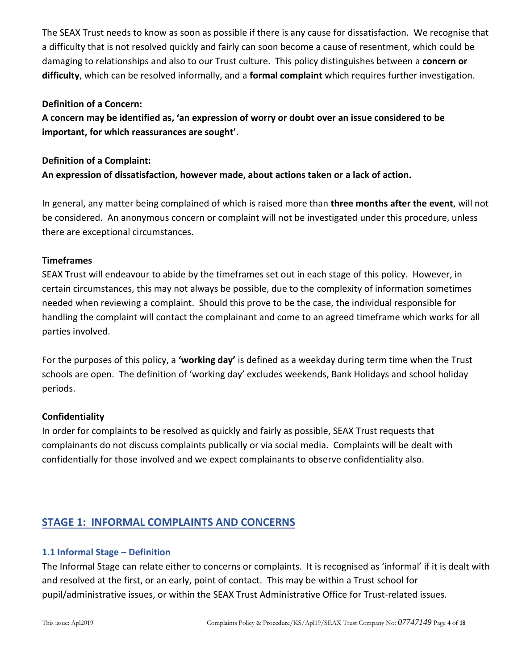The SEAX Trust needs to know as soon as possible if there is any cause for dissatisfaction. We recognise that a difficulty that is not resolved quickly and fairly can soon become a cause of resentment, which could be damaging to relationships and also to our Trust culture. This policy distinguishes between a **concern or difficulty**, which can be resolved informally, and a **formal complaint** which requires further investigation.

#### **Definition of a Concern:**

**A concern may be identified as, 'an expression of worry or doubt over an issue considered to be important, for which reassurances are sought'.**

#### **Definition of a Complaint:**

**An expression of dissatisfaction, however made, about actions taken or a lack of action.**

In general, any matter being complained of which is raised more than **three months after the event**, will not be considered. An anonymous concern or complaint will not be investigated under this procedure, unless there are exceptional circumstances.

#### **Timeframes**

SEAX Trust will endeavour to abide by the timeframes set out in each stage of this policy. However, in certain circumstances, this may not always be possible, due to the complexity of information sometimes needed when reviewing a complaint. Should this prove to be the case, the individual responsible for handling the complaint will contact the complainant and come to an agreed timeframe which works for all parties involved.

For the purposes of this policy, a **'working day'** is defined as a weekday during term time when the Trust schools are open. The definition of 'working day' excludes weekends, Bank Holidays and school holiday periods.

#### **Confidentiality**

In order for complaints to be resolved as quickly and fairly as possible, SEAX Trust requests that complainants do not discuss complaints publically or via social media. Complaints will be dealt with confidentially for those involved and we expect complainants to observe confidentiality also.

# **STAGE 1: INFORMAL COMPLAINTS AND CONCERNS**

#### **1.1 Informal Stage – Definition**

The Informal Stage can relate either to concerns or complaints. It is recognised as 'informal' if it is dealt with and resolved at the first, or an early, point of contact. This may be within a Trust school for pupil/administrative issues, or within the SEAX Trust Administrative Office for Trust-related issues.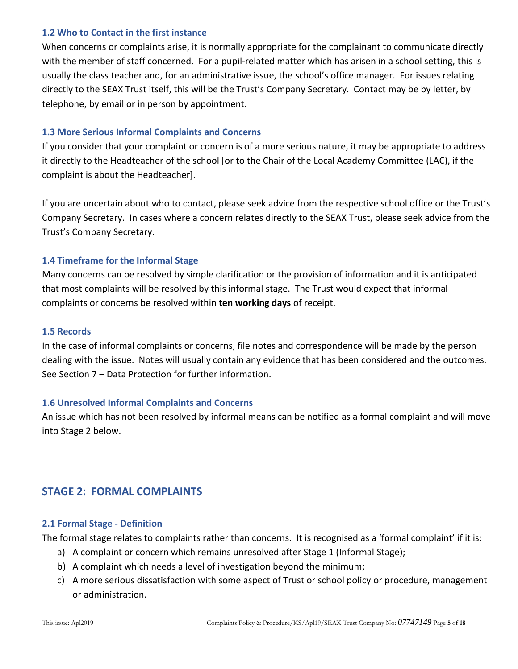#### **1.2 Who to Contact in the first instance**

When concerns or complaints arise, it is normally appropriate for the complainant to communicate directly with the member of staff concerned. For a pupil-related matter which has arisen in a school setting, this is usually the class teacher and, for an administrative issue, the school's office manager. For issues relating directly to the SEAX Trust itself, this will be the Trust's Company Secretary. Contact may be by letter, by telephone, by email or in person by appointment.

#### **1.3 More Serious Informal Complaints and Concerns**

If you consider that your complaint or concern is of a more serious nature, it may be appropriate to address it directly to the Headteacher of the school [or to the Chair of the Local Academy Committee (LAC), if the complaint is about the Headteacher].

If you are uncertain about who to contact, please seek advice from the respective school office or the Trust's Company Secretary. In cases where a concern relates directly to the SEAX Trust, please seek advice from the Trust's Company Secretary.

#### **1.4 Timeframe for the Informal Stage**

Many concerns can be resolved by simple clarification or the provision of information and it is anticipated that most complaints will be resolved by this informal stage. The Trust would expect that informal complaints or concerns be resolved within **ten working days** of receipt.

#### **1.5 Records**

In the case of informal complaints or concerns, file notes and correspondence will be made by the person dealing with the issue. Notes will usually contain any evidence that has been considered and the outcomes. See Section 7 – Data Protection for further information.

#### **1.6 Unresolved Informal Complaints and Concerns**

An issue which has not been resolved by informal means can be notified as a formal complaint and will move into Stage 2 below.

# **STAGE 2: FORMAL COMPLAINTS**

#### **2.1 Formal Stage - Definition**

The formal stage relates to complaints rather than concerns. It is recognised as a 'formal complaint' if it is:

- a) A complaint or concern which remains unresolved after Stage 1 (Informal Stage);
- b) A complaint which needs a level of investigation beyond the minimum;
- c) A more serious dissatisfaction with some aspect of Trust or school policy or procedure, management or administration.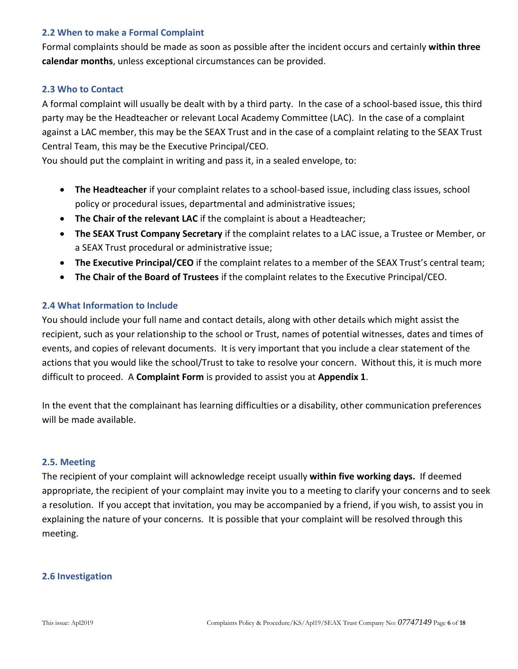#### **2.2 When to make a Formal Complaint**

Formal complaints should be made as soon as possible after the incident occurs and certainly **within three calendar months**, unless exceptional circumstances can be provided.

#### **2.3 Who to Contact**

A formal complaint will usually be dealt with by a third party. In the case of a school-based issue, this third party may be the Headteacher or relevant Local Academy Committee (LAC). In the case of a complaint against a LAC member, this may be the SEAX Trust and in the case of a complaint relating to the SEAX Trust Central Team, this may be the Executive Principal/CEO.

You should put the complaint in writing and pass it, in a sealed envelope, to:

- **The Headteacher** if your complaint relates to a school-based issue, including class issues, school policy or procedural issues, departmental and administrative issues;
- **The Chair of the relevant LAC** if the complaint is about a Headteacher;
- **The SEAX Trust Company Secretary** if the complaint relates to a LAC issue, a Trustee or Member, or a SEAX Trust procedural or administrative issue;
- **The Executive Principal/CEO** if the complaint relates to a member of the SEAX Trust's central team;
- **The Chair of the Board of Trustees** if the complaint relates to the Executive Principal/CEO.

#### **2.4 What Information to Include**

You should include your full name and contact details, along with other details which might assist the recipient, such as your relationship to the school or Trust, names of potential witnesses, dates and times of events, and copies of relevant documents. It is very important that you include a clear statement of the actions that you would like the school/Trust to take to resolve your concern. Without this, it is much more difficult to proceed. A **Complaint Form** is provided to assist you at **Appendix 1**.

In the event that the complainant has learning difficulties or a disability, other communication preferences will be made available.

#### **2.5. Meeting**

The recipient of your complaint will acknowledge receipt usually **within five working days.** If deemed appropriate, the recipient of your complaint may invite you to a meeting to clarify your concerns and to seek a resolution. If you accept that invitation, you may be accompanied by a friend, if you wish, to assist you in explaining the nature of your concerns. It is possible that your complaint will be resolved through this meeting.

#### **2.6 Investigation**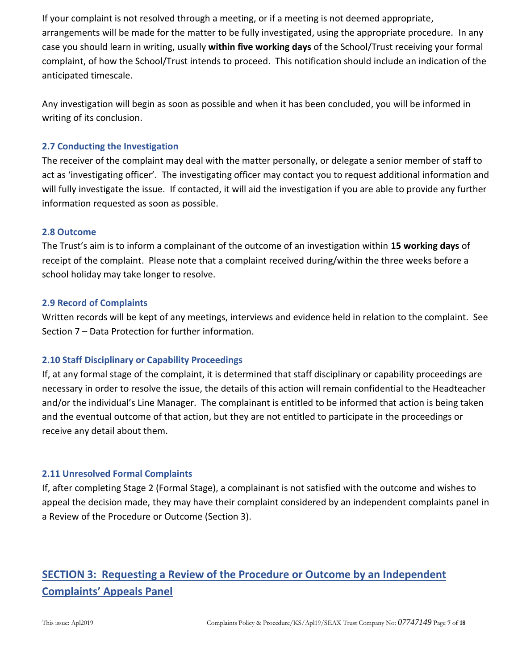If your complaint is not resolved through a meeting, or if a meeting is not deemed appropriate, arrangements will be made for the matter to be fully investigated, using the appropriate procedure. In any case you should learn in writing, usually **within five working days** of the School/Trust receiving your formal complaint, of how the School/Trust intends to proceed. This notification should include an indication of the anticipated timescale.

Any investigation will begin as soon as possible and when it has been concluded, you will be informed in writing of its conclusion.

#### **2.7 Conducting the Investigation**

The receiver of the complaint may deal with the matter personally, or delegate a senior member of staff to act as 'investigating officer'. The investigating officer may contact you to request additional information and will fully investigate the issue. If contacted, it will aid the investigation if you are able to provide any further information requested as soon as possible.

#### **2.8 Outcome**

The Trust's aim is to inform a complainant of the outcome of an investigation within **15 working days** of receipt of the complaint. Please note that a complaint received during/within the three weeks before a school holiday may take longer to resolve.

#### **2.9 Record of Complaints**

Written records will be kept of any meetings, interviews and evidence held in relation to the complaint. See Section 7 – Data Protection for further information.

#### **2.10 Staff Disciplinary or Capability Proceedings**

If, at any formal stage of the complaint, it is determined that staff disciplinary or capability proceedings are necessary in order to resolve the issue, the details of this action will remain confidential to the Headteacher and/or the individual's Line Manager. The complainant is entitled to be informed that action is being taken and the eventual outcome of that action, but they are not entitled to participate in the proceedings or receive any detail about them.

#### **2.11 Unresolved Formal Complaints**

If, after completing Stage 2 (Formal Stage), a complainant is not satisfied with the outcome and wishes to appeal the decision made, they may have their complaint considered by an independent complaints panel in a Review of the Procedure or Outcome (Section 3).

# **SECTION 3: Requesting a Review of the Procedure or Outcome by an Independent Complaints' Appeals Panel**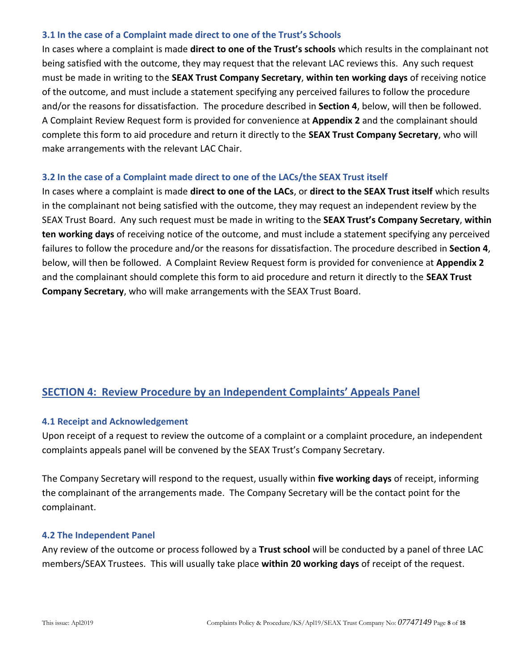#### **3.1 In the case of a Complaint made direct to one of the Trust's Schools**

In cases where a complaint is made **direct to one of the Trust's schools** which results in the complainant not being satisfied with the outcome, they may request that the relevant LAC reviews this. Any such request must be made in writing to the **SEAX Trust Company Secretary**, **within ten working days** of receiving notice of the outcome, and must include a statement specifying any perceived failures to follow the procedure and/or the reasons for dissatisfaction. The procedure described in **Section 4**, below, will then be followed. A Complaint Review Request form is provided for convenience at **Appendix 2** and the complainant should complete this form to aid procedure and return it directly to the **SEAX Trust Company Secretary**, who will make arrangements with the relevant LAC Chair.

#### **3.2 In the case of a Complaint made direct to one of the LACs/the SEAX Trust itself**

In cases where a complaint is made **direct to one of the LACs**, or **direct to the SEAX Trust itself** which results in the complainant not being satisfied with the outcome, they may request an independent review by the SEAX Trust Board. Any such request must be made in writing to the **SEAX Trust's Company Secretary**, **within ten working days** of receiving notice of the outcome, and must include a statement specifying any perceived failures to follow the procedure and/or the reasons for dissatisfaction. The procedure described in **Section 4**, below, will then be followed. A Complaint Review Request form is provided for convenience at **Appendix 2** and the complainant should complete this form to aid procedure and return it directly to the **SEAX Trust Company Secretary**, who will make arrangements with the SEAX Trust Board.

# **SECTION 4: Review Procedure by an Independent Complaints' Appeals Panel**

#### **4.1 Receipt and Acknowledgement**

Upon receipt of a request to review the outcome of a complaint or a complaint procedure, an independent complaints appeals panel will be convened by the SEAX Trust's Company Secretary.

The Company Secretary will respond to the request, usually within **five working days** of receipt, informing the complainant of the arrangements made. The Company Secretary will be the contact point for the complainant.

#### **4.2 The Independent Panel**

Any review of the outcome or process followed by a **Trust school** will be conducted by a panel of three LAC members/SEAX Trustees. This will usually take place **within 20 working days** of receipt of the request.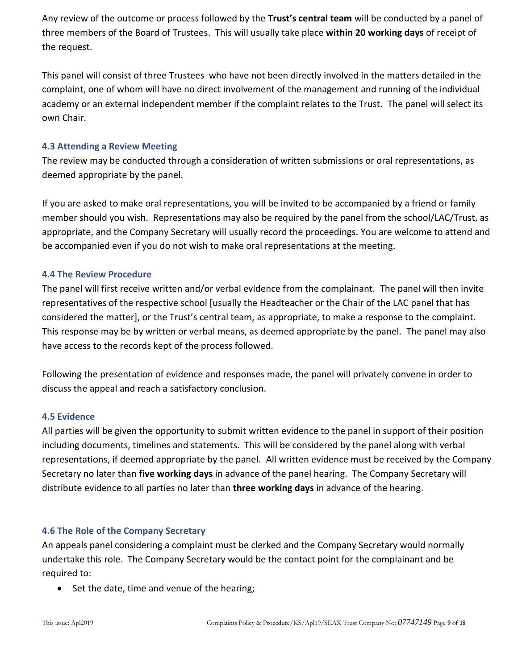Any review of the outcome or process followed by the **Trust's central team** will be conducted by a panel of three members of the Board of Trustees. This will usually take place **within 20 working days** of receipt of the request.

This panel will consist of three Trustees who have not been directly involved in the matters detailed in the complaint, one of whom will have no direct involvement of the management and running of the individual academy or an external independent member if the complaint relates to the Trust. The panel will select its own Chair.

#### **4.3 Attending a Review Meeting**

The review may be conducted through a consideration of written submissions or oral representations, as deemed appropriate by the panel.

If you are asked to make oral representations, you will be invited to be accompanied by a friend or family member should you wish. Representations may also be required by the panel from the school/LAC/Trust, as appropriate, and the Company Secretary will usually record the proceedings. You are welcome to attend and be accompanied even if you do not wish to make oral representations at the meeting.

#### **4.4 The Review Procedure**

The panel will first receive written and/or verbal evidence from the complainant. The panel will then invite representatives of the respective school [usually the Headteacher or the Chair of the LAC panel that has considered the matter], or the Trust's central team, as appropriate, to make a response to the complaint. This response may be by written or verbal means, as deemed appropriate by the panel. The panel may also have access to the records kept of the process followed.

Following the presentation of evidence and responses made, the panel will privately convene in order to discuss the appeal and reach a satisfactory conclusion.

#### **4.5 Evidence**

All parties will be given the opportunity to submit written evidence to the panel in support of their position including documents, timelines and statements. This will be considered by the panel along with verbal representations, if deemed appropriate by the panel. All written evidence must be received by the Company Secretary no later than **five working days** in advance of the panel hearing. The Company Secretary will distribute evidence to all parties no later than **three working days** in advance of the hearing.

#### **4.6 The Role of the Company Secretary**

An appeals panel considering a complaint must be clerked and the Company Secretary would normally undertake this role. The Company Secretary would be the contact point for the complainant and be required to:

• Set the date, time and venue of the hearing;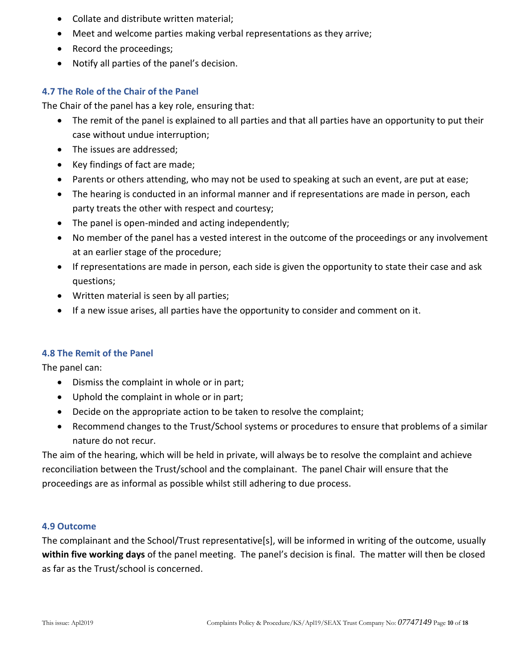- Collate and distribute written material;
- Meet and welcome parties making verbal representations as they arrive;
- Record the proceedings:
- Notify all parties of the panel's decision.

#### **4.7 The Role of the Chair of the Panel**

The Chair of the panel has a key role, ensuring that:

- The remit of the panel is explained to all parties and that all parties have an opportunity to put their case without undue interruption;
- The issues are addressed;
- Key findings of fact are made;
- Parents or others attending, who may not be used to speaking at such an event, are put at ease;
- The hearing is conducted in an informal manner and if representations are made in person, each party treats the other with respect and courtesy;
- The panel is open-minded and acting independently;
- No member of the panel has a vested interest in the outcome of the proceedings or any involvement at an earlier stage of the procedure;
- If representations are made in person, each side is given the opportunity to state their case and ask questions;
- Written material is seen by all parties;
- If a new issue arises, all parties have the opportunity to consider and comment on it.

#### **4.8 The Remit of the Panel**

The panel can:

- Dismiss the complaint in whole or in part;
- Uphold the complaint in whole or in part;
- Decide on the appropriate action to be taken to resolve the complaint;
- Recommend changes to the Trust/School systems or procedures to ensure that problems of a similar nature do not recur.

The aim of the hearing, which will be held in private, will always be to resolve the complaint and achieve reconciliation between the Trust/school and the complainant. The panel Chair will ensure that the proceedings are as informal as possible whilst still adhering to due process.

#### **4.9 Outcome**

The complainant and the School/Trust representative[s], will be informed in writing of the outcome, usually **within five working days** of the panel meeting. The panel's decision is final. The matter will then be closed as far as the Trust/school is concerned.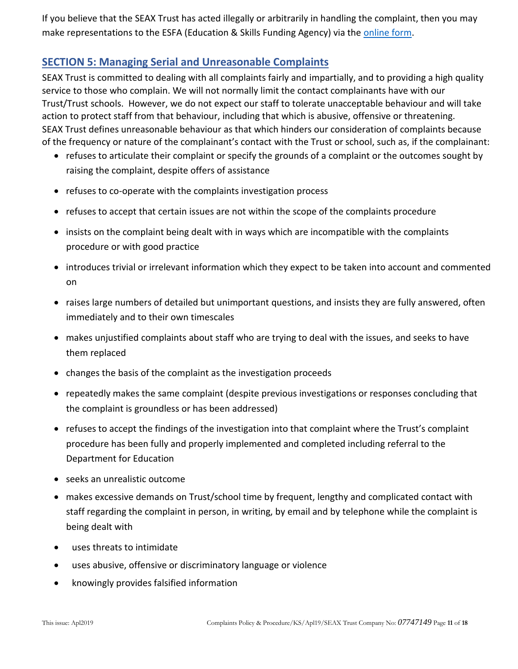If you believe that the SEAX Trust has acted illegally or arbitrarily in handling the complaint, then you may make representations to the ESFA (Education & Skills Funding Agency) via th[e online form.](https://form.education.gov.uk/fillform.php?self=1&form_id=cCCNJ1xSfBE&type=form&ShowMsg=1&form_name=Contact+the+Department+for+Education&noRegister=false&ret=%2Fmodule%2Fservices&noLoginPrompt=1)

# **SECTION 5: Managing Serial and Unreasonable Complaints**

SEAX Trust is committed to dealing with all complaints fairly and impartially, and to providing a high quality service to those who complain. We will not normally limit the contact complainants have with our Trust/Trust schools. However, we do not expect our staff to tolerate unacceptable behaviour and will take action to protect staff from that behaviour, including that which is abusive, offensive or threatening. SEAX Trust defines unreasonable behaviour as that which hinders our consideration of complaints because of the frequency or nature of the complainant's contact with the Trust or school, such as, if the complainant:

- refuses to articulate their complaint or specify the grounds of a complaint or the outcomes sought by raising the complaint, despite offers of assistance
- refuses to co-operate with the complaints investigation process
- refuses to accept that certain issues are not within the scope of the complaints procedure
- insists on the complaint being dealt with in ways which are incompatible with the complaints procedure or with good practice
- introduces trivial or irrelevant information which they expect to be taken into account and commented on
- raises large numbers of detailed but unimportant questions, and insists they are fully answered, often immediately and to their own timescales
- makes unjustified complaints about staff who are trying to deal with the issues, and seeks to have them replaced
- changes the basis of the complaint as the investigation proceeds
- repeatedly makes the same complaint (despite previous investigations or responses concluding that the complaint is groundless or has been addressed)
- refuses to accept the findings of the investigation into that complaint where the Trust's complaint procedure has been fully and properly implemented and completed including referral to the Department for Education
- seeks an unrealistic outcome
- makes excessive demands on Trust/school time by frequent, lengthy and complicated contact with staff regarding the complaint in person, in writing, by email and by telephone while the complaint is being dealt with
- uses threats to intimidate
- uses abusive, offensive or discriminatory language or violence
- knowingly provides falsified information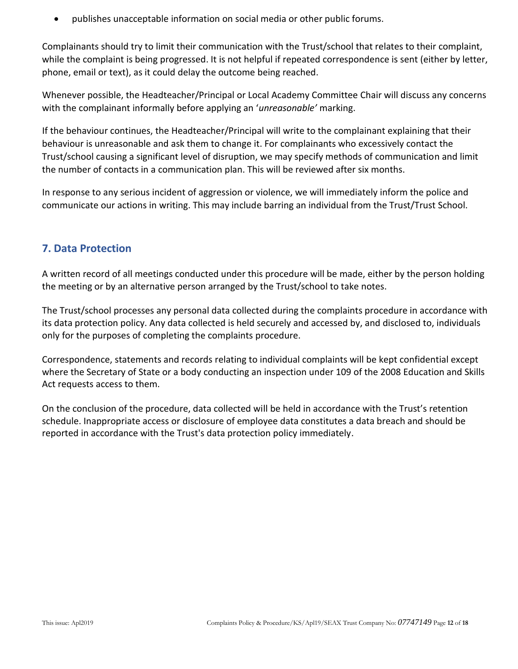publishes unacceptable information on social media or other public forums.

Complainants should try to limit their communication with the Trust/school that relates to their complaint, while the complaint is being progressed. It is not helpful if repeated correspondence is sent (either by letter, phone, email or text), as it could delay the outcome being reached.

Whenever possible, the Headteacher/Principal or Local Academy Committee Chair will discuss any concerns with the complainant informally before applying an '*unreasonable'* marking.

If the behaviour continues, the Headteacher/Principal will write to the complainant explaining that their behaviour is unreasonable and ask them to change it. For complainants who excessively contact the Trust/school causing a significant level of disruption, we may specify methods of communication and limit the number of contacts in a communication plan. This will be reviewed after six months.

In response to any serious incident of aggression or violence, we will immediately inform the police and communicate our actions in writing. This may include barring an individual from the Trust/Trust School.

# **7. Data Protection**

A written record of all meetings conducted under this procedure will be made, either by the person holding the meeting or by an alternative person arranged by the Trust/school to take notes.

The Trust/school processes any personal data collected during the complaints procedure in accordance with its data protection policy. Any data collected is held securely and accessed by, and disclosed to, individuals only for the purposes of completing the complaints procedure.

Correspondence, statements and records relating to individual complaints will be kept confidential except where the Secretary of State or a body conducting an inspection under 109 of the 2008 Education and Skills Act requests access to them.

On the conclusion of the procedure, data collected will be held in accordance with the Trust's retention schedule. Inappropriate access or disclosure of employee data constitutes a data breach and should be reported in accordance with the Trust's data protection policy immediately.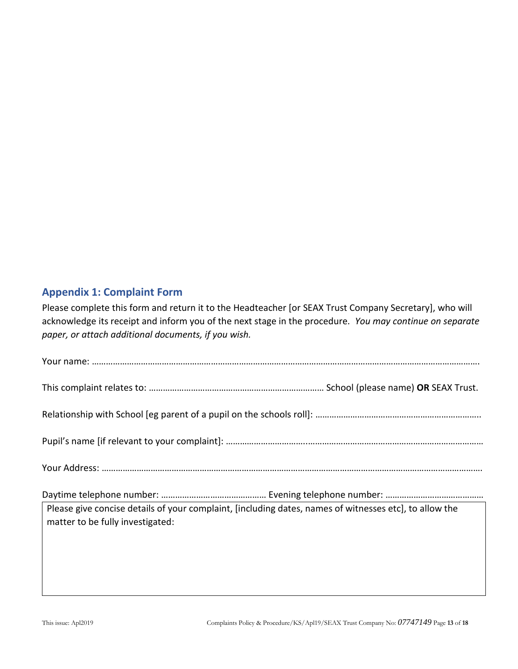# **Appendix 1: Complaint Form**

Please complete this form and return it to the Headteacher [or SEAX Trust Company Secretary], who will acknowledge its receipt and inform you of the next stage in the procedure. *You may continue on separate paper, or attach additional documents, if you wish.*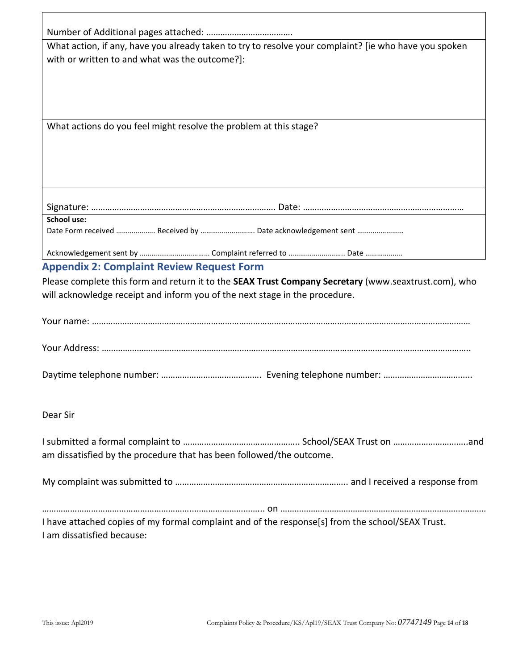|                                                                                                                                 | What action, if any, have you already taken to try to resolve your complaint? [ie who have you spoken |
|---------------------------------------------------------------------------------------------------------------------------------|-------------------------------------------------------------------------------------------------------|
| with or written to and what was the outcome?]:                                                                                  |                                                                                                       |
|                                                                                                                                 |                                                                                                       |
|                                                                                                                                 |                                                                                                       |
| What actions do you feel might resolve the problem at this stage?                                                               |                                                                                                       |
|                                                                                                                                 |                                                                                                       |
|                                                                                                                                 |                                                                                                       |
|                                                                                                                                 |                                                                                                       |
| <b>School use:</b>                                                                                                              |                                                                                                       |
| Date Form received  Received by  Date acknowledgement sent                                                                      |                                                                                                       |
|                                                                                                                                 |                                                                                                       |
| <b>Appendix 2: Complaint Review Request Form</b><br>will acknowledge receipt and inform you of the next stage in the procedure. | Please complete this form and return it to the SEAX Trust Company Secretary (www.seaxtrust.com), who  |
|                                                                                                                                 |                                                                                                       |
|                                                                                                                                 |                                                                                                       |
|                                                                                                                                 |                                                                                                       |
| Dear Sir                                                                                                                        |                                                                                                       |
| am dissatisfied by the procedure that has been followed/the outcome.                                                            |                                                                                                       |
|                                                                                                                                 |                                                                                                       |
|                                                                                                                                 | I have attached copies of my formal complaint and of the response[s] from the school/SEAX Trust.      |
| I am dissatisfied because:                                                                                                      |                                                                                                       |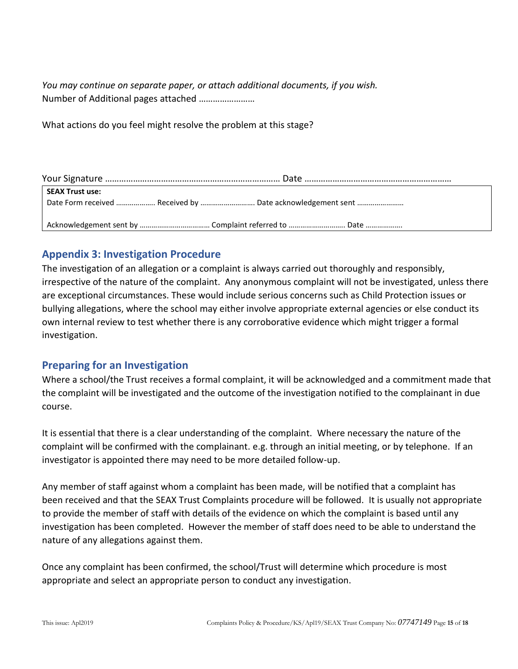*You may continue on separate paper, or attach additional documents, if you wish.* Number of Additional pages attached ……………………

What actions do you feel might resolve the problem at this stage?

| SEAX Trust use: |                                                            |  |  |  |
|-----------------|------------------------------------------------------------|--|--|--|
|                 | Date Form received  Received by  Date acknowledgement sent |  |  |  |
|                 |                                                            |  |  |  |

# **Appendix 3: Investigation Procedure**

The investigation of an allegation or a complaint is always carried out thoroughly and responsibly, irrespective of the nature of the complaint. Any anonymous complaint will not be investigated, unless there are exceptional circumstances. These would include serious concerns such as Child Protection issues or bullying allegations, where the school may either involve appropriate external agencies or else conduct its own internal review to test whether there is any corroborative evidence which might trigger a formal investigation.

# **Preparing for an Investigation**

Where a school/the Trust receives a formal complaint, it will be acknowledged and a commitment made that the complaint will be investigated and the outcome of the investigation notified to the complainant in due course.

It is essential that there is a clear understanding of the complaint. Where necessary the nature of the complaint will be confirmed with the complainant. e.g. through an initial meeting, or by telephone. If an investigator is appointed there may need to be more detailed follow-up.

Any member of staff against whom a complaint has been made, will be notified that a complaint has been received and that the SEAX Trust Complaints procedure will be followed. It is usually not appropriate to provide the member of staff with details of the evidence on which the complaint is based until any investigation has been completed. However the member of staff does need to be able to understand the nature of any allegations against them.

Once any complaint has been confirmed, the school/Trust will determine which procedure is most appropriate and select an appropriate person to conduct any investigation.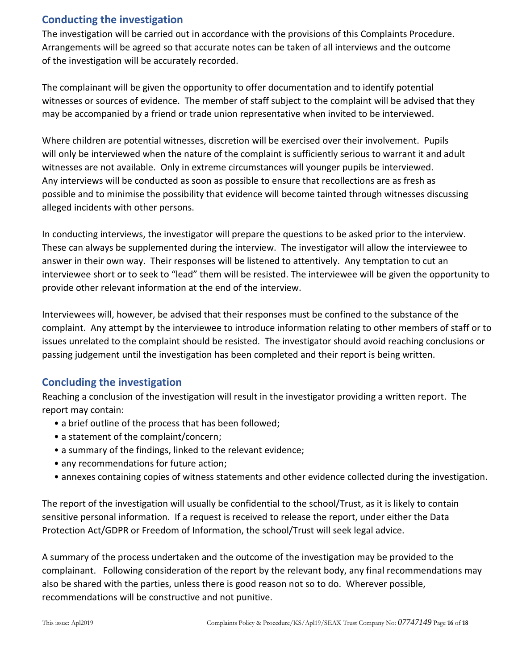# **Conducting the investigation**

The investigation will be carried out in accordance with the provisions of this Complaints Procedure. Arrangements will be agreed so that accurate notes can be taken of all interviews and the outcome of the investigation will be accurately recorded.

The complainant will be given the opportunity to offer documentation and to identify potential witnesses or sources of evidence. The member of staff subject to the complaint will be advised that they may be accompanied by a friend or trade union representative when invited to be interviewed.

Where children are potential witnesses, discretion will be exercised over their involvement. Pupils will only be interviewed when the nature of the complaint is sufficiently serious to warrant it and adult witnesses are not available. Only in extreme circumstances will younger pupils be interviewed. Any interviews will be conducted as soon as possible to ensure that recollections are as fresh as possible and to minimise the possibility that evidence will become tainted through witnesses discussing alleged incidents with other persons.

In conducting interviews, the investigator will prepare the questions to be asked prior to the interview. These can always be supplemented during the interview. The investigator will allow the interviewee to answer in their own way. Their responses will be listened to attentively. Any temptation to cut an interviewee short or to seek to "lead" them will be resisted. The interviewee will be given the opportunity to provide other relevant information at the end of the interview.

Interviewees will, however, be advised that their responses must be confined to the substance of the complaint. Any attempt by the interviewee to introduce information relating to other members of staff or to issues unrelated to the complaint should be resisted. The investigator should avoid reaching conclusions or passing judgement until the investigation has been completed and their report is being written.

# **Concluding the investigation**

Reaching a conclusion of the investigation will result in the investigator providing a written report. The report may contain:

- a brief outline of the process that has been followed;
- a statement of the complaint/concern;
- a summary of the findings, linked to the relevant evidence;
- any recommendations for future action;
- annexes containing copies of witness statements and other evidence collected during the investigation.

The report of the investigation will usually be confidential to the school/Trust, as it is likely to contain sensitive personal information. If a request is received to release the report, under either the Data Protection Act/GDPR or Freedom of Information, the school/Trust will seek legal advice.

A summary of the process undertaken and the outcome of the investigation may be provided to the complainant. Following consideration of the report by the relevant body, any final recommendations may also be shared with the parties, unless there is good reason not so to do. Wherever possible, recommendations will be constructive and not punitive.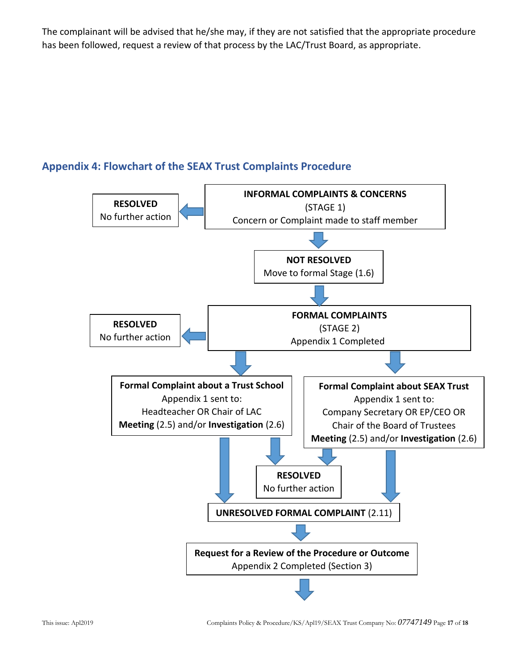The complainant will be advised that he/she may, if they are not satisfied that the appropriate procedure has been followed, request a review of that process by the LAC/Trust Board, as appropriate.

# **Appendix 4: Flowchart of the SEAX Trust Complaints Procedure**